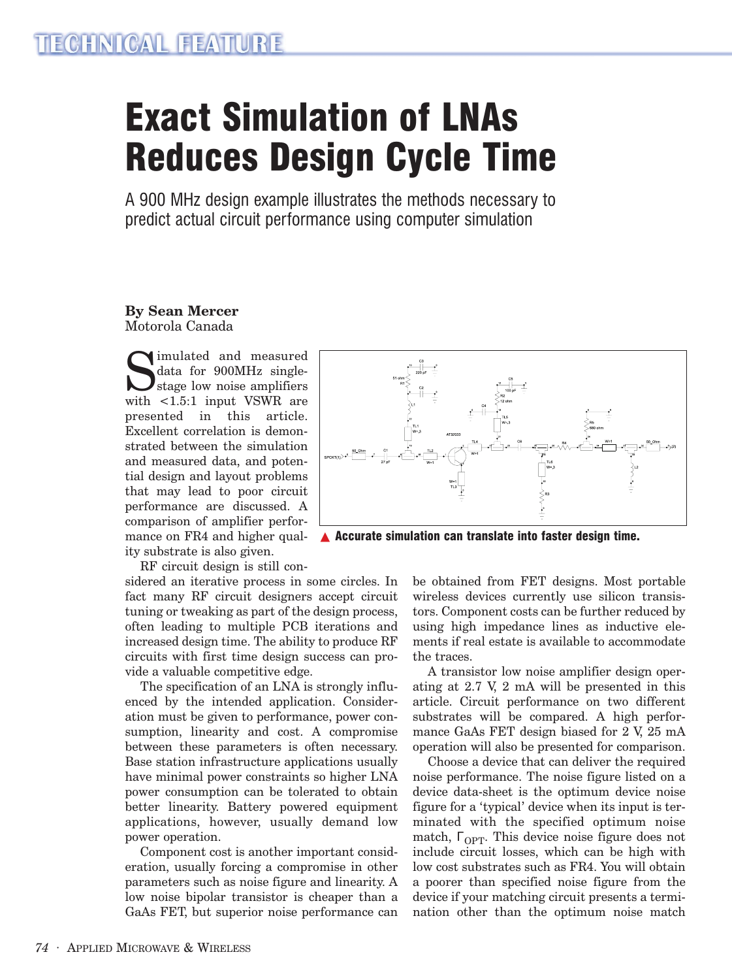# Exact Simulation of LNAs Reduces Design Cycle Time

A 900 MHz design example illustrates the methods necessary to predict actual circuit performance using computer simulation

#### **By Sean Mercer** Motorola Canada

Simulated and measured<br>data for 900MHz single-<br>stage low noise amplifiers<br>with <1.5.1 input VSWR are data for 900MHz singlestage low noise amplifiers with <1.5:1 input VSWR are presented in this article. Excellent correlation is demonstrated between the simulation and measured data, and potential design and layout problems that may lead to poor circuit performance are discussed. A comparison of amplifier performance on FR4 and higher quality substrate is also given.



▲ Accurate simulation can translate into faster design time.

RF circuit design is still con-

sidered an iterative process in some circles. In fact many RF circuit designers accept circuit tuning or tweaking as part of the design process, often leading to multiple PCB iterations and increased design time. The ability to produce RF circuits with first time design success can provide a valuable competitive edge.

The specification of an LNA is strongly influenced by the intended application. Consideration must be given to performance, power consumption, linearity and cost. A compromise between these parameters is often necessary. Base station infrastructure applications usually have minimal power constraints so higher LNA power consumption can be tolerated to obtain better linearity. Battery powered equipment applications, however, usually demand low power operation.

Component cost is another important consideration, usually forcing a compromise in other parameters such as noise figure and linearity. A low noise bipolar transistor is cheaper than a GaAs FET, but superior noise performance can

be obtained from FET designs. Most portable wireless devices currently use silicon transistors. Component costs can be further reduced by using high impedance lines as inductive elements if real estate is available to accommodate the traces.

A transistor low noise amplifier design operating at 2.7 V, 2 mA will be presented in this article. Circuit performance on two different substrates will be compared. A high performance GaAs FET design biased for 2 V, 25 mA operation will also be presented for comparison.

Choose a device that can deliver the required noise performance. The noise figure listed on a device data-sheet is the optimum device noise figure for a 'typical' device when its input is terminated with the specified optimum noise match,  $\Gamma_{\text{OPT}}$ . This device noise figure does not include circuit losses, which can be high with low cost substrates such as FR4. You will obtain a poorer than specified noise figure from the device if your matching circuit presents a termination other than the optimum noise match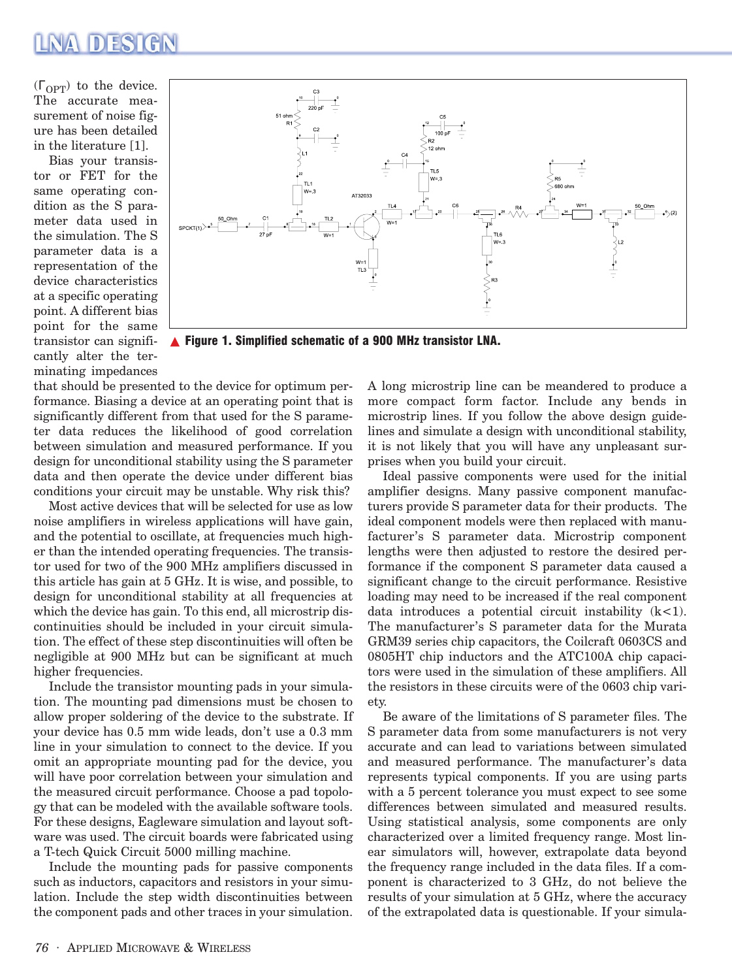### **NA DESIGN**

 $(\Gamma_{\text{OPT}})$  to the device. The accurate measurement of noise figure has been detailed in the literature [1].

Bias your transistor or FET for the same operating condition as the S parameter data used in the simulation. The S parameter data is a representation of the device characteristics at a specific operating point. A different bias point for the same transistor can significantly alter the terminating impedances



▲ Figure 1. Simplified schematic of a 900 MHz transistor LNA.

that should be presented to the device for optimum performance. Biasing a device at an operating point that is significantly different from that used for the S parameter data reduces the likelihood of good correlation between simulation and measured performance. If you design for unconditional stability using the S parameter data and then operate the device under different bias conditions your circuit may be unstable. Why risk this?

Most active devices that will be selected for use as low noise amplifiers in wireless applications will have gain, and the potential to oscillate, at frequencies much higher than the intended operating frequencies. The transistor used for two of the 900 MHz amplifiers discussed in this article has gain at 5 GHz. It is wise, and possible, to design for unconditional stability at all frequencies at which the device has gain. To this end, all microstrip discontinuities should be included in your circuit simulation. The effect of these step discontinuities will often be negligible at 900 MHz but can be significant at much higher frequencies.

Include the transistor mounting pads in your simulation. The mounting pad dimensions must be chosen to allow proper soldering of the device to the substrate. If your device has 0.5 mm wide leads, don't use a 0.3 mm line in your simulation to connect to the device. If you omit an appropriate mounting pad for the device, you will have poor correlation between your simulation and the measured circuit performance. Choose a pad topology that can be modeled with the available software tools. For these designs, Eagleware simulation and layout software was used. The circuit boards were fabricated using a T-tech Quick Circuit 5000 milling machine.

Include the mounting pads for passive components such as inductors, capacitors and resistors in your simulation. Include the step width discontinuities between the component pads and other traces in your simulation. A long microstrip line can be meandered to produce a more compact form factor. Include any bends in microstrip lines. If you follow the above design guidelines and simulate a design with unconditional stability, it is not likely that you will have any unpleasant surprises when you build your circuit.

Ideal passive components were used for the initial amplifier designs. Many passive component manufacturers provide S parameter data for their products. The ideal component models were then replaced with manufacturer's S parameter data. Microstrip component lengths were then adjusted to restore the desired performance if the component S parameter data caused a significant change to the circuit performance. Resistive loading may need to be increased if the real component data introduces a potential circuit instability  $(k<1)$ . The manufacturer's S parameter data for the Murata GRM39 series chip capacitors, the Coilcraft 0603CS and 0805HT chip inductors and the ATC100A chip capacitors were used in the simulation of these amplifiers. All the resistors in these circuits were of the 0603 chip variety.

Be aware of the limitations of S parameter files. The S parameter data from some manufacturers is not very accurate and can lead to variations between simulated and measured performance. The manufacturer's data represents typical components. If you are using parts with a 5 percent tolerance you must expect to see some differences between simulated and measured results. Using statistical analysis, some components are only characterized over a limited frequency range. Most linear simulators will, however, extrapolate data beyond the frequency range included in the data files. If a component is characterized to 3 GHz, do not believe the results of your simulation at 5 GHz, where the accuracy of the extrapolated data is questionable. If your simula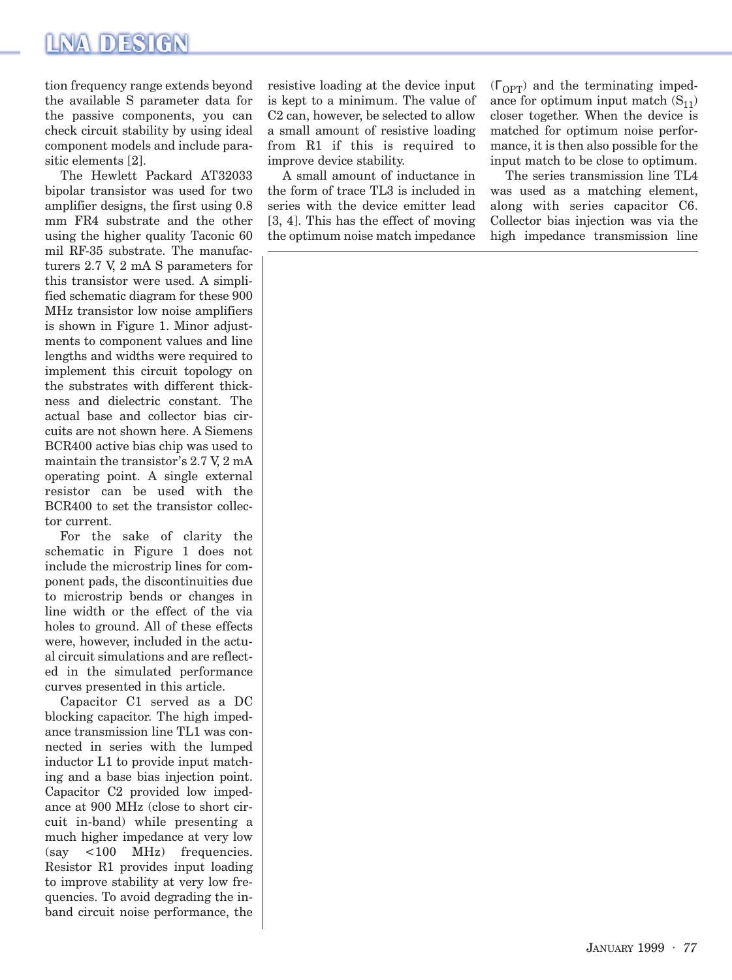tion frequency range extends beyond the available S parameter data for the passive components, you can check circuit stability by using ideal component models and include parasitic elements [2].

The Hewlett Packard AT32033 bipolar transistor was used for two amplifier designs, the first using 0.8 mm FR4 substrate and the other using the higher quality Taconic 60 mil RF-35 substrate. The manufacturers 2.7 V, 2 mA S parameters for this transistor were used. A simplified schematic diagram for these 900 MHz transistor low noise amplifiers is shown in Figure 1. Minor adjustments to component values and line lengths and widths were required to implement this circuit topology on the substrates with different thickness and dielectric constant. The actual base and collector bias circuits are not shown here. A Siemens BCR400 active bias chip was used to maintain the transistor's 2.7 V, 2 mA operating point. A single external resistor can be used with the BCR400 to set the transistor collector current.

For the sake of clarity the schematic in Figure 1 does not include the microstrip lines for component pads, the discontinuities due to microstrip bends or changes in line width or the effect of the via holes to ground. All of these effects were, however, included in the actual circuit simulations and are reflected in the simulated performance curves presented in this article.

Capacitor C1 served as a DC blocking capacitor. The high impedance transmission line TL1 was connected in series with the lumped inductor L1 to provide input matching and a base bias injection point. Capacitor C2 provided low impedance at 900 MHz (close to short circuit in-band) while presenting a much higher impedance at very low (say <100 MHz) frequencies. Resistor R1 provides input loading to improve stability at very low frequencies. To avoid degrading the inband circuit noise performance, the resistive loading at the device input is kept to a minimum. The value of C2 can, however, be selected to allow a small amount of resistive loading from R1 if this is required to improve device stability.

A small amount of inductance in the form of trace TL3 is included in series with the device emitter lead [3, 4]. This has the effect of moving the optimum noise match impedance

 $(\Gamma_{\text{OPT}})$  and the terminating impedance for optimum input match  $(S_{11})$ closer together. When the device is matched for optimum noise performance, it is then also possible for the input match to be close to optimum.

The series transmission line TL4 was used as a matching element, along with series capacitor C6. Collector bias injection was via the high impedance transmission line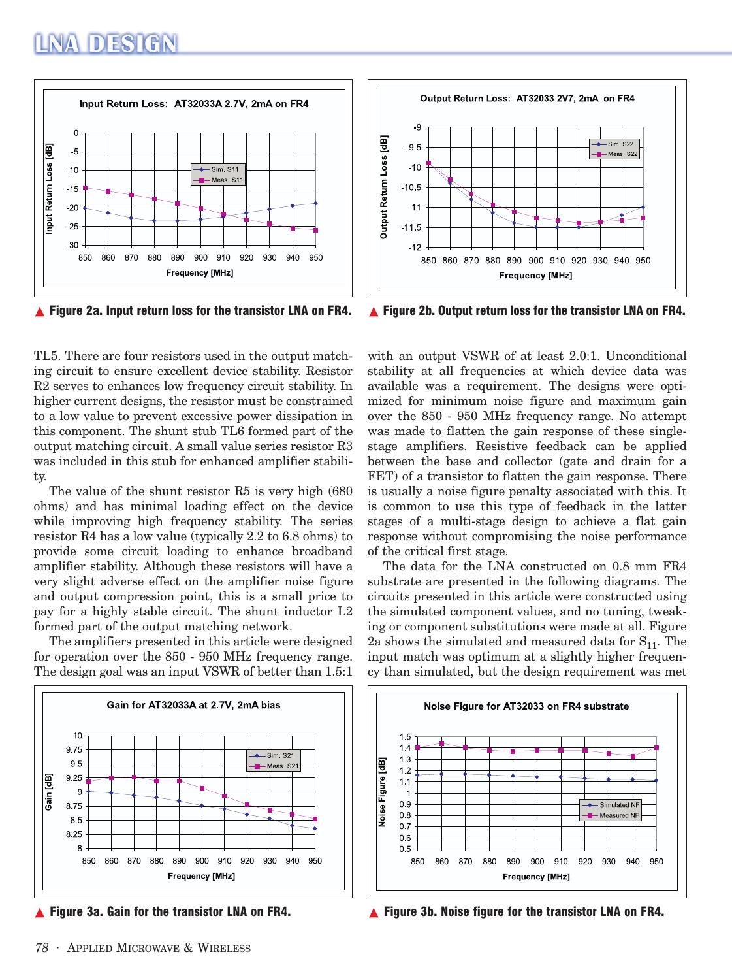

 $\triangle$  Figure 2a. Input return loss for the transistor LNA on FR4.

TL5. There are four resistors used in the output matching circuit to ensure excellent device stability. Resistor R2 serves to enhances low frequency circuit stability. In higher current designs, the resistor must be constrained to a low value to prevent excessive power dissipation in this component. The shunt stub TL6 formed part of the output matching circuit. A small value series resistor R3 was included in this stub for enhanced amplifier stability.

The value of the shunt resistor R5 is very high (680 ohms) and has minimal loading effect on the device while improving high frequency stability. The series resistor R4 has a low value (typically 2.2 to 6.8 ohms) to provide some circuit loading to enhance broadband amplifier stability. Although these resistors will have a very slight adverse effect on the amplifier noise figure and output compression point, this is a small price to pay for a highly stable circuit. The shunt inductor L2 formed part of the output matching network.

The amplifiers presented in this article were designed for operation over the 850 - 950 MHz frequency range. The design goal was an input VSWR of better than 1.5:1





▲ Figure 2b. Output return loss for the transistor LNA on FR4.

with an output VSWR of at least 2.0:1. Unconditional stability at all frequencies at which device data was available was a requirement. The designs were optimized for minimum noise figure and maximum gain over the 850 - 950 MHz frequency range. No attempt was made to flatten the gain response of these singlestage amplifiers. Resistive feedback can be applied between the base and collector (gate and drain for a FET) of a transistor to flatten the gain response. There is usually a noise figure penalty associated with this. It is common to use this type of feedback in the latter stages of a multi-stage design to achieve a flat gain response without compromising the noise performance of the critical first stage.

The data for the LNA constructed on 0.8 mm FR4 substrate are presented in the following diagrams. The circuits presented in this article were constructed using the simulated component values, and no tuning, tweaking or component substitutions were made at all. Figure 2a shows the simulated and measured data for  $S_{11}$ . The input match was optimum at a slightly higher frequency than simulated, but the design requirement was met



 $\blacktriangle$  Figure 3a. Gain for the transistor LNA on FR4.  $\blacktriangle$  Figure 3b. Noise figure for the transistor LNA on FR4.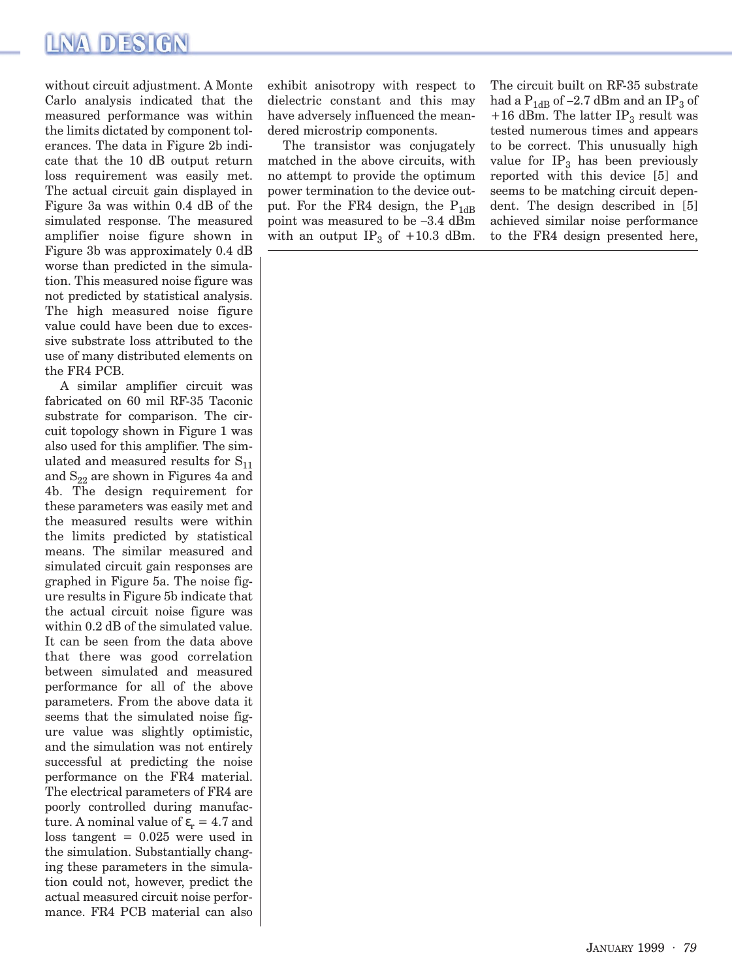## LNA DESIGN

without circuit adjustment. A Monte Carlo analysis indicated that the measured performance was within the limits dictated by component tolerances. The data in Figure 2b indicate that the 10 dB output return loss requirement was easily met. The actual circuit gain displayed in Figure 3a was within 0.4 dB of the simulated response. The measured amplifier noise figure shown in Figure 3b was approximately 0.4 dB worse than predicted in the simulation. This measured noise figure was not predicted by statistical analysis. The high measured noise figure value could have been due to excessive substrate loss attributed to the use of many distributed elements on the FR4 PCB.

A similar amplifier circuit was fabricated on 60 mil RF-35 Taconic substrate for comparison. The circuit topology shown in Figure 1 was also used for this amplifier. The simulated and measured results for  $S_{11}$ and  $S_{22}$  are shown in Figures 4a and 4b. The design requirement for these parameters was easily met and the measured results were within the limits predicted by statistical means. The similar measured and simulated circuit gain responses are graphed in Figure 5a. The noise figure results in Figure 5b indicate that the actual circuit noise figure was within  $0.2$  dB of the simulated value. It can be seen from the data above that there was good correlation between simulated and measured performance for all of the above parameters. From the above data it seems that the simulated noise figure value was slightly optimistic, and the simulation was not entirely successful at predicting the noise performance on the FR4 material. The electrical parameters of FR4 are poorly controlled during manufacture. A nominal value of  $\varepsilon_r = 4.7$  and  $loss tangent = 0.025$  were used in the simulation. Substantially changing these parameters in the simulation could not, however, predict the actual measured circuit noise performance. FR4 PCB material can also exhibit anisotropy with respect to dielectric constant and this may have adversely influenced the meandered microstrip components.

The transistor was conjugately matched in the above circuits, with no attempt to provide the optimum power termination to the device output. For the FR4 design, the  $P_{1dB}$ point was measured to be –3.4 dBm with an output  $IP_3$  of  $+10.3$  dBm.

The circuit built on RF-35 substrate had a  $P_{1dB}$  of -2.7 dBm and an IP<sub>3</sub> of +16 dBm. The latter  $IP_3$  result was tested numerous times and appears to be correct. This unusually high value for  $IP_3$  has been previously reported with this device [5] and seems to be matching circuit dependent. The design described in [5] achieved similar noise performance to the FR4 design presented here,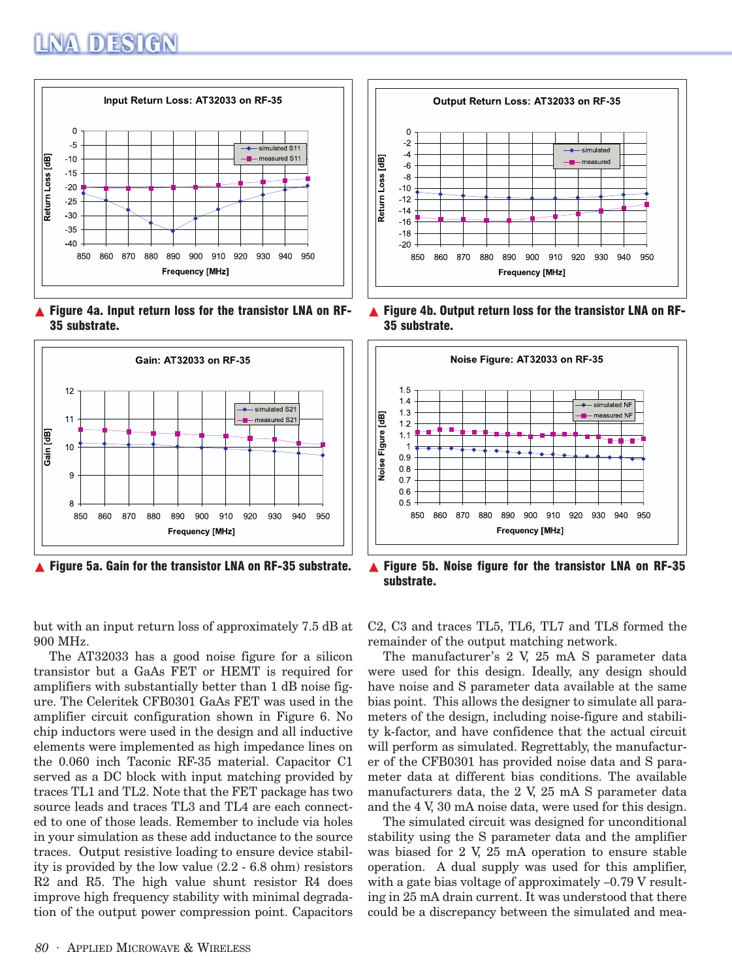# NA DESIGN



 $\triangle$  Figure 4a. Input return loss for the transistor LNA on RF-35 substrate.



but with an input return loss of approximately 7.5 dB at 900 MHz.

The AT32033 has a good noise figure for a silicon transistor but a GaAs FET or HEMT is required for amplifiers with substantially better than 1 dB noise figure. The Celeritek CFB0301 GaAs FET was used in the amplifier circuit configuration shown in Figure 6. No chip inductors were used in the design and all inductive elements were implemented as high impedance lines on the 0.060 inch Taconic RF-35 material. Capacitor C1 served as a DC block with input matching provided by traces TL1 and TL2. Note that the FET package has two source leads and traces TL3 and TL4 are each connected to one of those leads. Remember to include via holes in your simulation as these add inductance to the source traces. Output resistive loading to ensure device stability is provided by the low value (2.2 - 6.8 ohm) resistors R2 and R5. The high value shunt resistor R4 does improve high frequency stability with minimal degradation of the output power compression point. Capacitors



▲ Figure 4b. Output return loss for the transistor LNA on RF-35 substrate.



▲ Figure 5a. Gain for the transistor LNA on RF-35 substrate. ▲ Figure 5b. Noise figure for the transistor LNA on RF-35 substrate.

C2, C3 and traces TL5, TL6, TL7 and TL8 formed the remainder of the output matching network.

The manufacturer's 2 V, 25 mA S parameter data were used for this design. Ideally, any design should have noise and S parameter data available at the same bias point. This allows the designer to simulate all parameters of the design, including noise-figure and stability k-factor, and have confidence that the actual circuit will perform as simulated. Regrettably, the manufacturer of the CFB0301 has provided noise data and S parameter data at different bias conditions. The available manufacturers data, the 2 V, 25 mA S parameter data and the 4 V, 30 mA noise data, were used for this design.

The simulated circuit was designed for unconditional stability using the S parameter data and the amplifier was biased for 2 V, 25 mA operation to ensure stable operation. A dual supply was used for this amplifier, with a gate bias voltage of approximately  $-0.79$  V resulting in 25 mA drain current. It was understood that there could be a discrepancy between the simulated and mea-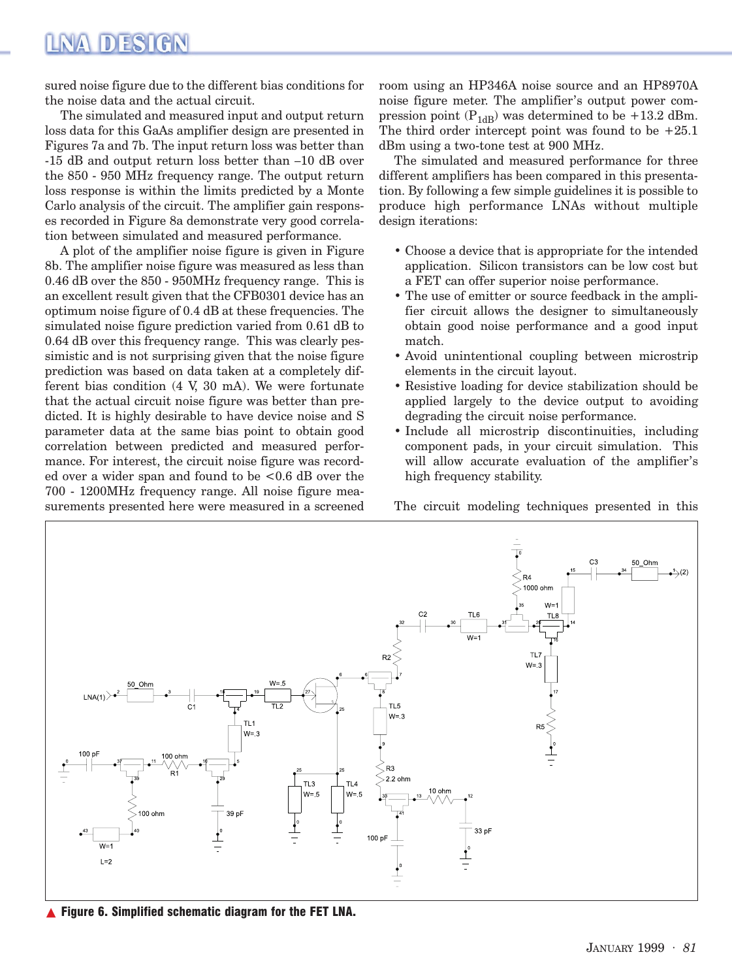### NA DESIGN

sured noise figure due to the different bias conditions for the noise data and the actual circuit.

The simulated and measured input and output return loss data for this GaAs amplifier design are presented in Figures 7a and 7b. The input return loss was better than -15 dB and output return loss better than –10 dB over the 850 - 950 MHz frequency range. The output return loss response is within the limits predicted by a Monte Carlo analysis of the circuit. The amplifier gain responses recorded in Figure 8a demonstrate very good correlation between simulated and measured performance.

A plot of the amplifier noise figure is given in Figure 8b. The amplifier noise figure was measured as less than 0.46 dB over the 850 - 950MHz frequency range. This is an excellent result given that the CFB0301 device has an optimum noise figure of 0.4 dB at these frequencies. The simulated noise figure prediction varied from 0.61 dB to 0.64 dB over this frequency range. This was clearly pessimistic and is not surprising given that the noise figure prediction was based on data taken at a completely different bias condition (4 V, 30 mA). We were fortunate that the actual circuit noise figure was better than predicted. It is highly desirable to have device noise and S parameter data at the same bias point to obtain good correlation between predicted and measured performance. For interest, the circuit noise figure was recorded over a wider span and found to be <0.6 dB over the 700 - 1200MHz frequency range. All noise figure measurements presented here were measured in a screened

room using an HP346A noise source and an HP8970A noise figure meter. The amplifier's output power compression point  $(P_{1dB})$  was determined to be +13.2 dBm. The third order intercept point was found to be  $+25.1$ dBm using a two-tone test at 900 MHz.

The simulated and measured performance for three different amplifiers has been compared in this presentation. By following a few simple guidelines it is possible to produce high performance LNAs without multiple design iterations:

- Choose a device that is appropriate for the intended application. Silicon transistors can be low cost but a FET can offer superior noise performance.
- The use of emitter or source feedback in the amplifier circuit allows the designer to simultaneously obtain good noise performance and a good input match.
- Avoid unintentional coupling between microstrip elements in the circuit layout.
- Resistive loading for device stabilization should be applied largely to the device output to avoiding degrading the circuit noise performance.
- Include all microstrip discontinuities, including component pads, in your circuit simulation. This will allow accurate evaluation of the amplifier's high frequency stability.

The circuit modeling techniques presented in this



▲ Figure 6. Simplified schematic diagram for the FET LNA.